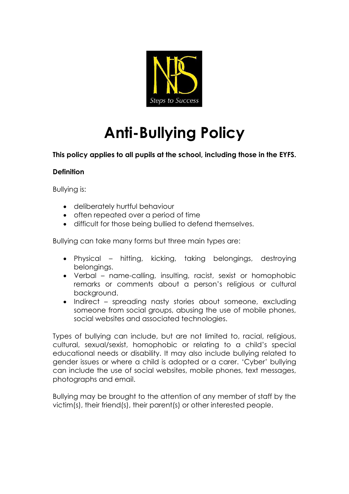

# **Anti-Bullying Policy**

**This policy applies to all pupils at the school, including those in the EYFS.**

# **Definition**

Bullying is:

- deliberately hurtful behaviour
- often repeated over a period of time
- difficult for those being bullied to defend themselves.

Bullying can take many forms but three main types are:

- Physical hitting, kicking, taking belongings, destroying belongings.
- Verbal name-calling, insulting, racist, sexist or homophobic remarks or comments about a person's religious or cultural background.
- Indirect spreading nasty stories about someone, excluding someone from social groups, abusing the use of mobile phones, social websites and associated technologies.

Types of bullying can include, but are not limited to, racial, religious, cultural, sexual/sexist, homophobic or relating to a child's special educational needs or disability. It may also include bullying related to gender issues or where a child is adopted or a carer. 'Cyber' bullying can include the use of social websites, mobile phones, text messages, photographs and email.

Bullying may be brought to the attention of any member of staff by the victim(s), their friend(s), their parent(s) or other interested people.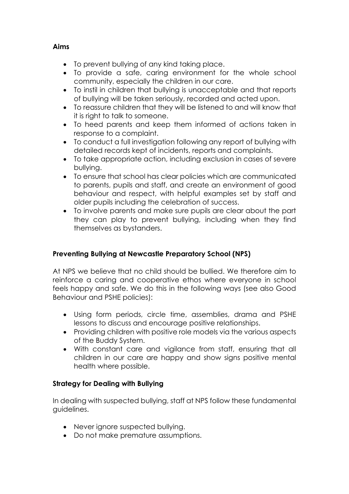## **Aims**

- To prevent bullying of any kind taking place.
- To provide a safe, caring environment for the whole school community, especially the children in our care.
- To instil in children that bullying is unacceptable and that reports of bullying will be taken seriously, recorded and acted upon.
- To reassure children that they will be listened to and will know that it is right to talk to someone.
- To heed parents and keep them informed of actions taken in response to a complaint.
- To conduct a full investigation following any report of bullying with detailed records kept of incidents, reports and complaints.
- To take appropriate action, including exclusion in cases of severe bullying.
- To ensure that school has clear policies which are communicated to parents, pupils and staff, and create an environment of good behaviour and respect, with helpful examples set by staff and older pupils including the celebration of success.
- To involve parents and make sure pupils are clear about the part they can play to prevent bullying, including when they find themselves as bystanders.

# **Preventing Bullying at Newcastle Preparatory School (NPS)**

At NPS we believe that no child should be bullied. We therefore aim to reinforce a caring and cooperative ethos where everyone in school feels happy and safe. We do this in the following ways (see also Good Behaviour and PSHE policies):

- Using form periods, circle time, assemblies, drama and PSHE lessons to discuss and encourage positive relationships.
- Providing children with positive role models via the various aspects of the Buddy System.
- With constant care and vigilance from staff, ensuring that all children in our care are happy and show signs positive mental health where possible.

# **Strategy for Dealing with Bullying**

In dealing with suspected bullying, staff at NPS follow these fundamental guidelines.

- Never ignore suspected bullying.
- Do not make premature assumptions.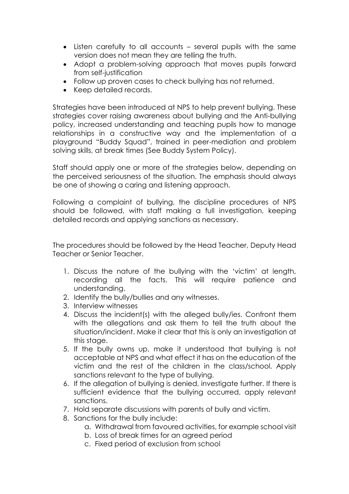- Listen carefully to all accounts several pupils with the same version does not mean they are telling the truth.
- Adopt a problem-solving approach that moves pupils forward from self-justification
- Follow up proven cases to check bullying has not returned.
- Keep detailed records.

Strategies have been introduced at NPS to help prevent bullying. These strategies cover raising awareness about bullying and the Anti-bullying policy, increased understanding and teaching pupils how to manage relationships in a constructive way and the implementation of a playground "Buddy Squad", trained in peer-mediation and problem solving skills, at break times (See Buddy System Policy).

Staff should apply one or more of the strategies below, depending on the perceived seriousness of the situation. The emphasis should always be one of showing a caring and listening approach.

Following a complaint of bullying, the discipline procedures of NPS should be followed, with staff making a full investigation, keeping detailed records and applying sanctions as necessary.

The procedures should be followed by the Head Teacher, Deputy Head Teacher or Senior Teacher.

- 1. Discuss the nature of the bullying with the 'victim' at length, recording all the facts. This will require patience and understanding.
- 2. Identify the bully/bullies and any witnesses.
- 3. Interview witnesses
- 4. Discuss the incident(s) with the alleged bully/ies. Confront them with the allegations and ask them to tell the truth about the situation/incident. Make it clear that this is only an investigation at this stage.
- 5. If the bully owns up, make it understood that bullying is not acceptable at NPS and what effect it has on the education of the victim and the rest of the children in the class/school. Apply sanctions relevant to the type of bullying.
- 6. If the allegation of bullying is denied, investigate further. If there is sufficient evidence that the bullying occurred, apply relevant sanctions.
- 7. Hold separate discussions with parents of bully and victim.
- 8. Sanctions for the bully include:
	- a. Withdrawal from favoured activities, for example school visit
	- b. Loss of break times for an agreed period
	- c. Fixed period of exclusion from school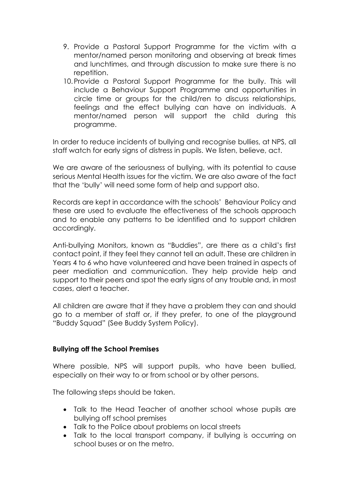- 9. Provide a Pastoral Support Programme for the victim with a mentor/named person monitoring and observing at break times and lunchtimes, and through discussion to make sure there is no repetition.
- 10.Provide a Pastoral Support Programme for the bully. This will include a Behaviour Support Programme and opportunities in circle time or groups for the child/ren to discuss relationships, feelings and the effect bullying can have on individuals. A mentor/named person will support the child during this programme.

In order to reduce incidents of bullying and recognise bullies, at NPS, all staff watch for early signs of distress in pupils. We listen, believe, act.

We are aware of the seriousness of bullying, with its potential to cause serious Mental Health issues for the victim. We are also aware of the fact that the 'bully' will need some form of help and support also.

Records are kept in accordance with the schools' Behaviour Policy and these are used to evaluate the effectiveness of the schools approach and to enable any patterns to be identified and to support children accordingly.

Anti-bullying Monitors, known as "Buddies", are there as a child's first contact point, if they feel they cannot tell an adult. These are children in Years 4 to 6 who have volunteered and have been trained in aspects of peer mediation and communication. They help provide help and support to their peers and spot the early signs of any trouble and, in most cases, alert a teacher.

All children are aware that if they have a problem they can and should go to a member of staff or, if they prefer, to one of the playground "Buddy Squad" (See Buddy System Policy).

#### **Bullying off the School Premises**

Where possible, NPS will support pupils, who have been bullied, especially on their way to or from school or by other persons.

The following steps should be taken.

- Talk to the Head Teacher of another school whose pupils are bullying off school premises
- Talk to the Police about problems on local streets
- Talk to the local transport company, if bullying is occurring on school buses or on the metro.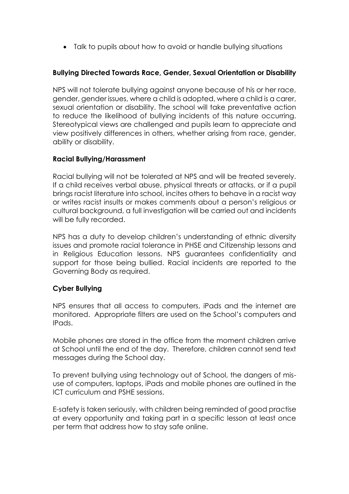• Talk to pupils about how to avoid or handle bullying situations

## **Bullying Directed Towards Race, Gender, Sexual Orientation or Disability**

NPS will not tolerate bullying against anyone because of his or her race, gender, gender issues, where a child is adopted, where a child is a carer, sexual orientation or disability. The school will take preventative action to reduce the likelihood of bullying incidents of this nature occurring. Stereotypical views are challenged and pupils learn to appreciate and view positively differences in others, whether arising from race, gender, ability or disability.

#### **Racial Bullying/Harassment**

Racial bullying will not be tolerated at NPS and will be treated severely. If a child receives verbal abuse, physical threats or attacks, or if a pupil brings racist literature into school, incites others to behave in a racist way or writes racist insults or makes comments about a person's religious or cultural background, a full investigation will be carried out and incidents will be fully recorded.

NPS has a duty to develop children's understanding of ethnic diversity issues and promote racial tolerance in PHSE and Citizenship lessons and in Religious Education lessons. NPS guarantees confidentiality and support for those being bullied. Racial incidents are reported to the Governing Body as required.

#### **Cyber Bullying**

NPS ensures that all access to computers, iPads and the internet are monitored. Appropriate filters are used on the School's computers and IPads.

Mobile phones are stored in the office from the moment children arrive at School until the end of the day. Therefore, children cannot send text messages during the School day.

To prevent bullying using technology out of School, the dangers of misuse of computers, laptops, iPads and mobile phones are outlined in the ICT curriculum and PSHE sessions.

E-safety is taken seriously, with children being reminded of good practise at every opportunity and taking part in a specific lesson at least once per term that address how to stay safe online.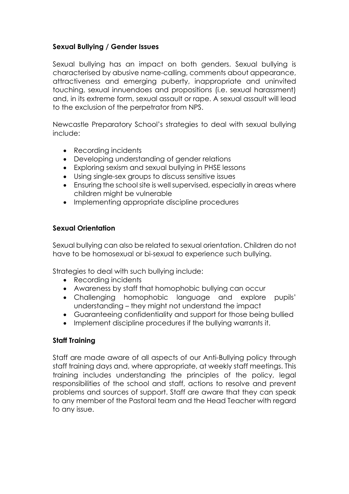## **Sexual Bullying / Gender Issues**

Sexual bullying has an impact on both genders. Sexual bullying is characterised by abusive name-calling, comments about appearance, attractiveness and emerging puberty, inappropriate and uninvited touching, sexual innuendoes and propositions (i.e. sexual harassment) and, in its extreme form, sexual assault or rape. A sexual assault will lead to the exclusion of the perpetrator from NPS.

Newcastle Preparatory School's strategies to deal with sexual bullying include:

- Recording incidents
- Developing understanding of gender relations
- Exploring sexism and sexual bullying in PHSE lessons
- Using single-sex groups to discuss sensitive issues
- Ensuring the school site is well supervised, especially in areas where children might be vulnerable
- Implementing appropriate discipline procedures

#### **Sexual Orientation**

Sexual bullying can also be related to sexual orientation. Children do not have to be homosexual or bi-sexual to experience such bullying.

Strategies to deal with such bullying include:

- Recording incidents
- Awareness by staff that homophobic bullying can occur
- Challenging homophobic language and explore pupils' understanding – they might not understand the impact
- Guaranteeing confidentiality and support for those being bullied
- Implement discipline procedures if the bullying warrants it.

#### **Staff Training**

Staff are made aware of all aspects of our Anti-Bullying policy through staff training days and, where appropriate, at weekly staff meetings. This training includes understanding the principles of the policy, legal responsibilities of the school and staff, actions to resolve and prevent problems and sources of support. Staff are aware that they can speak to any member of the Pastoral team and the Head Teacher with regard to any issue.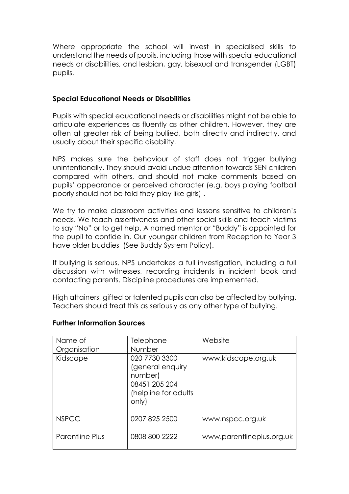Where appropriate the school will invest in specialised skills to understand the needs of pupils, including those with special educational needs or disabilities, and lesbian, gay, bisexual and transgender (LGBT) pupils.

#### **Special Educational Needs or Disabilities**

Pupils with special educational needs or disabilities might not be able to articulate experiences as fluently as other children. However, they are often at greater risk of being bullied, both directly and indirectly, and usually about their specific disability.

NPS makes sure the behaviour of staff does not trigger bullying unintentionally. They should avoid undue attention towards SEN children compared with others, and should not make comments based on pupils' appearance or perceived character (e.g. boys playing football poorly should not be told they play like girls) .

We try to make classroom activities and lessons sensitive to children's needs. We teach assertiveness and other social skills and teach victims to say "No" or to get help. A named mentor or "Buddy" is appointed for the pupil to confide in. Our younger children from Reception to Year 3 have older buddies (See Buddy System Policy).

If bullying is serious, NPS undertakes a full investigation, including a full discussion with witnesses, recording incidents in incident book and contacting parents. Discipline procedures are implemented.

High attainers, gifted or talented pupils can also be affected by bullying. Teachers should treat this as seriously as any other type of bullying.

| Name of<br>Organisation | Telephone<br>Number                                                                            | Website                   |
|-------------------------|------------------------------------------------------------------------------------------------|---------------------------|
| Kidscape                | 020 7730 3300<br>(general enquiry<br>number)<br>08451 205 204<br>(helpline for adults<br>only) | www.kidscape.org.uk       |
| <b>NSPCC</b>            | 0207 825 2500                                                                                  | www.nspcc.org.uk          |
| Parentline Plus         | 0808 800 2222                                                                                  | www.parentlineplus.org.uk |

#### **Further Information Sources**